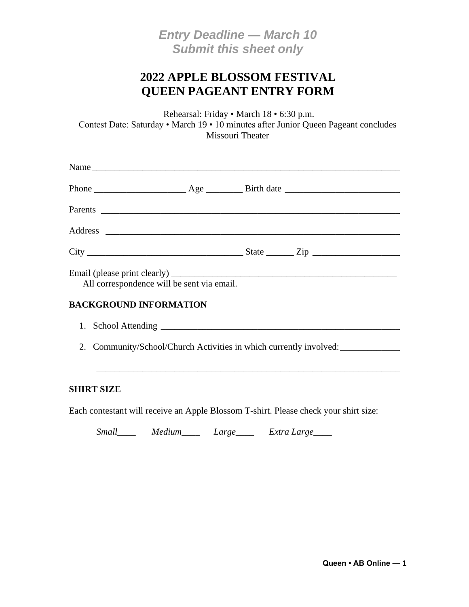*Entry Deadline — March 10 Submit this sheet only*

## **2022 APPLE BLOSSOM FESTIVAL QUEEN PAGEANT ENTRY FORM**

Rehearsal: Friday • March 18 • 6:30 p.m. Contest Date: Saturday • March 19 • 10 minutes after Junior Queen Pageant concludes Missouri Theater

| All correspondence will be sent via email. |  |  |
|--------------------------------------------|--|--|
| <b>BACKGROUND INFORMATION</b>              |  |  |

| 1. School Attending                                                |  |
|--------------------------------------------------------------------|--|
| 2. Community/School/Church Activities in which currently involved: |  |

\_\_\_\_\_\_\_\_\_\_\_\_\_\_\_\_\_\_\_\_\_\_\_\_\_\_\_\_\_\_\_\_\_\_\_\_\_\_\_\_\_\_\_\_\_\_\_\_\_\_\_\_\_\_\_\_\_\_\_\_\_\_\_\_\_\_

#### **SHIRT SIZE**

Each contestant will receive an Apple Blossom T-shirt. Please check your shirt size:

*Small\_\_\_\_ Medium\_\_\_\_ Large\_\_\_\_ Extra Large\_\_\_\_*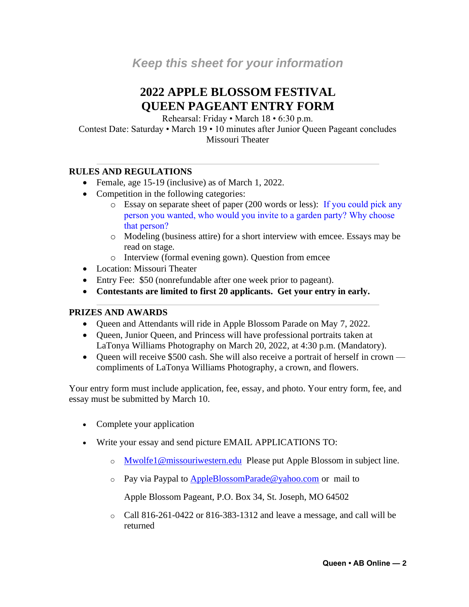# **2022 APPLE BLOSSOM FESTIVAL QUEEN PAGEANT ENTRY FORM**

Rehearsal: Friday • March 18 • 6:30 p.m.

Contest Date: Saturday • March 19 • 10 minutes after Junior Queen Pageant concludes Missouri Theater

### **RULES AND REGULATIONS**

- Female, age 15-19 (inclusive) as of March 1, 2022.
- Competition in the following categories:
	- o Essay on separate sheet of paper (200 words or less): If you could pick any person you wanted, who would you invite to a garden party? Why choose that person?
	- o Modeling (business attire) for a short interview with emcee. Essays may be read on stage.
	- o Interview (formal evening gown). Question from emcee
- Location: Missouri Theater
- Entry Fee: \$50 (nonrefundable after one week prior to pageant).
- **Contestants are limited to first 20 applicants. Get your entry in early.**

#### **PRIZES AND AWARDS**

- Queen and Attendants will ride in Apple Blossom Parade on May 7, 2022.
- Queen, Junior Queen, and Princess will have professional portraits taken at LaTonya Williams Photography on March 20, 2022, at 4:30 p.m. (Mandatory).
- Queen will receive \$500 cash. She will also receive a portrait of herself in crown compliments of LaTonya Williams Photography, a crown, and flowers.

Your entry form must include application, fee, essay, and photo. Your entry form, fee, and essay must be submitted by March 10.

- Complete your application
- Write your essay and send picture EMAIL APPLICATIONS TO:
	- o [Mwolfe1@missouriwestern.edu](mailto:Mwolfe1@missouriwestern.edu) Please put Apple Blossom in subject line.
	- $\circ$  Pay via Paypal to [AppleBlossomParade@yahoo.com](mailto:AppleBlossomParade@yahoo.com) or mail to

Apple Blossom Pageant, P.O. Box 34, St. Joseph, MO 64502

 $\circ$  Call 816-261-0422 or 816-383-1312 and leave a message, and call will be returned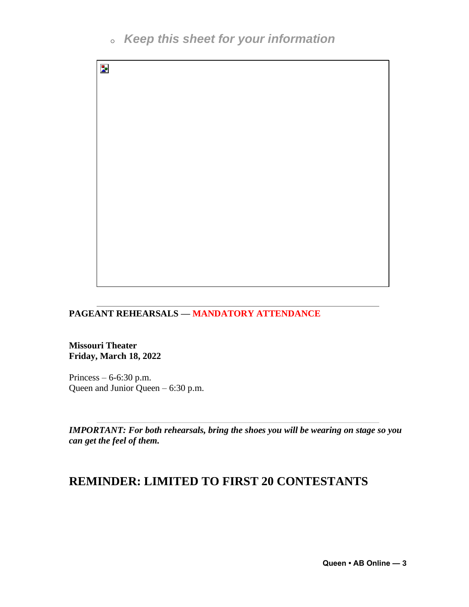# <sup>o</sup> *Keep this sheet for your information*



#### **PAGEANT REHEARSALS — MANDATORY ATTENDANCE**

**Missouri Theater Friday, March 18, 2022**

Princess – 6-6:30 p.m. Queen and Junior Queen – 6:30 p.m.

*IMPORTANT: For both rehearsals, bring the shoes you will be wearing on stage so you can get the feel of them.*

## **REMINDER: LIMITED TO FIRST 20 CONTESTANTS**